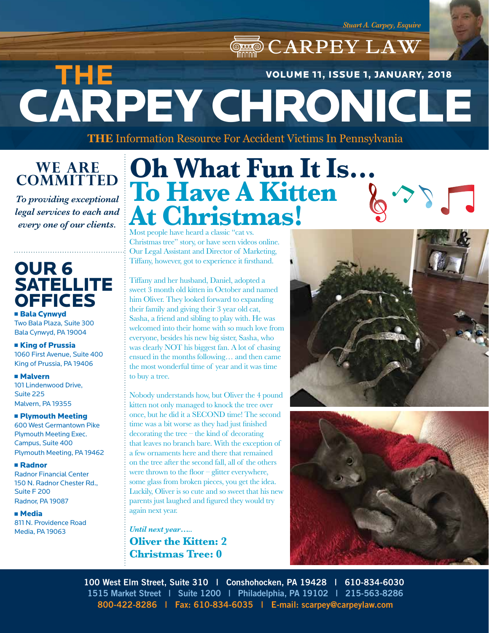*Stuart A. Carpey, Esquire*

CARPEY LAW CARPEY CHRONICLE **THE**  VOLUME 11, ISSUE 1, JANUARY, 2018

**THE** Information Resource For Accident Victims In Pennsylvania

**WE ARE COMMITTED**

*To providing exceptional legal services to each and* 

## OUR 6 **SATELLITE OFFICES**

**Bala Cynwyd** Two Bala Plaza, Suite 300 Bala Cynwyd, PA 19004

**E** King of Prussia 1060 First Avenue, Suite 400 King of Prussia, PA 19406

<sup>n</sup> Malvern 101 Lindenwood Drive, Suite 225 Malvern, PA 19355

**n Plymouth Meeting** 600 West Germantown Pike Plymouth Meeting Exec. Campus, Suite 400 Plymouth Meeting, PA 19462

<sup>n</sup> Radnor Radnor Financial Center 150 N. Radnor Chester Rd., Suite F 200 Radnor, PA 19087

<sup>n</sup> Media 811 N. Providence Road Media, PA 19063

## **every one of our clients.** Most people have heard a classic "cat vs. **Oh What Fun It Is… To Have A Kitten At Christmas!**

Christmas tree" story, or have seen videos online. Our Legal Assistant and Director of Marketing, Tiffany, however, got to experience it firsthand.

Tiffany and her husband, Daniel, adopted a sweet 3 month old kitten in October and named him Oliver. They looked forward to expanding their family and giving their 3 year old cat, Sasha, a friend and sibling to play with. He was welcomed into their home with so much love from everyone, besides his new big sister, Sasha, who was clearly NOT his biggest fan. A lot of chasing ensued in the months following… and then came the most wonderful time of year and it was time to buy a tree.

Nobody understands how, but Oliver the 4 pound kitten not only managed to knock the tree over once, but he did it a SECOND time! The second time was a bit worse as they had just finished decorating the tree – the kind of decorating that leaves no branch bare. With the exception of a few ornaments here and there that remained on the tree after the second fall, all of the others were thrown to the floor – glitter everywhere, some glass from broken pieces, you get the idea. Luckily, Oliver is so cute and so sweet that his new parents just laughed and figured they would try again next year.

*Until next year…..* **Oliver the Kitten: 2 Christmas Tree: 0**





**100 West Elm Street, Suite 310 | Conshohocken, PA 19428 | 610-834-6030 1515 Market Street | Suite 1200 | Philadelphia, PA 19102 | 215-563-8286 800-422-8286 | Fax: 610-834-6035 | E-mail: scarpey@carpeylaw.com**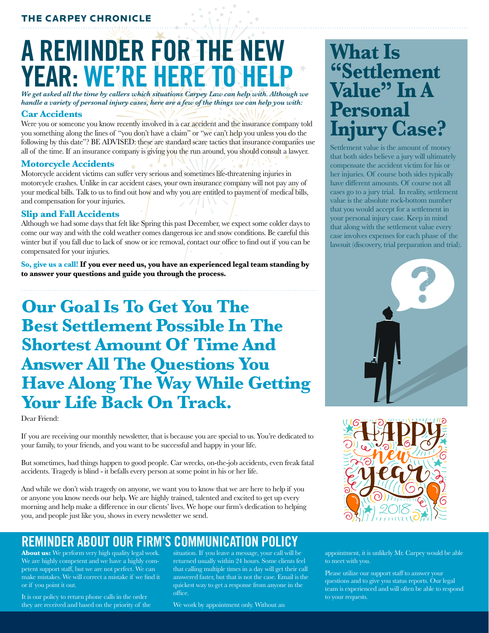### THE CARPEY CHRONICLE

# **A REMINDER FOR THE NEW YEAR: WE'RE HERE TO HELP**

*We get asked all the time by callers which situations Carpey Law can help with. Although we handle a variety of personal injury cases, here are a few of the things we can help you with:*

### **Car Accidents**

Were you or someone you know recently involved in a car accident and the insurance company told you something along the lines of "you don't have a claim" or "we can't help you unless you do the following by this date"? BE ADVISED: these are standard scare tactics that insurance companies use all of the time. If an insurance company is giving you the run around, you should consult a lawyer.

### **Motorcycle Accidents**

Motorcycle accident victims can suffer very serious and sometimes life-threatening injuries in motorcycle crashes. Unlike in car accident cases, your own insurance company will not pay any of your medical bills. Talk to us to find out how and why you are entitled to payment of medical bills, and compensation for your injuries.

### **Slip and Fall Accidents**

Although we had some days that felt like Spring this past December, we expect some colder days to come our way and with the cold weather comes dangerous ice and snow conditions. Be careful this winter but if you fall due to lack of snow or ice removal, contact our office to find out if you can be compensated for your injuries.

**So, give us a call! If you ever need us, you have an experienced legal team standing by to answer your questions and guide you through the process.**

## **Our Goal Is To Get You The Best Settlement Possible In The Shortest Amount Of Time And Answer All The Questions You Have Along The Way While Getting Your Life Back On Track.**

Dear Friend:

If you are receiving our monthly newsletter, that is because you are special to us. You're dedicated to your family, to your friends, and you want to be successful and happy in your life.

But sometimes, bad things happen to good people. Car wrecks, on-the-job accidents, even freak fatal accidents. Tragedy is blind - it befalls every person at some point in his or her life.

And while we don't wish tragedy on anyone, we want you to know that we are here to help if you or anyone you know needs our help. We are highly trained, talented and excited to get up every morning and help make a difference in our clients' lives. We hope our firm's dedication to helping you, and people just like you, shows in every newsletter we send.

## **REMINDER ABOUT OUR FIRM'S COMMUNICATION POLICY**

**About us:** We perform very high quality legal work. We are highly competent and we have a highly competent support staff, but we are not perfect. We can make mistakes. We will correct a mistake if we find it or if you point it out.

It is our policy to return phone calls in the order they are received and based on the priority of the situation. If you leave a message, your call will be returned usually within 24 hours. Some clients feel that calling multiple times in a day will get their call answered faster, but that is not the case. Email is the quickest way to get a response from anyone in the office.

We work by appointment only. Without an

## **What Is "Settlement Value" In A** Persona **Injury Case?**

Settlement value is the amount of money that both sides believe a jury will ultimately compensate the accident victim for his or her injuries. Of course both sides typically have different amounts. Of course not all cases go to a jury trial. In reality, settlement value is the absolute rock-bottom number that you would accept for a settlement in your personal injury case. Keep in mind that along with the settlement value every case involves expenses for each phase of the lawsuit (discovery, trial preparation and trial).





appointment, it is unlikely Mr. Carpey would be able to meet with you.

Please utilize our support staff to answer your questions and to give you status reports. Our legal team is experienced and will often be able to respond to your requests.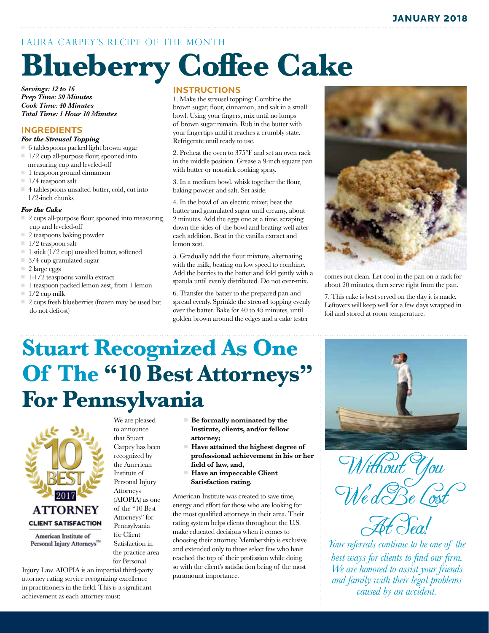### LAURA CARPEY'S RECIPE OF THE MONTH

# **Blueberry Coffee Cake**

*Servings: 12 to 16 Prep Time: 30 Minutes Cook Time: 40 Minutes Total Time: 1 Hour 10 Minutes*

### **INGREDIENTS**

#### *For the Streusel Topping*

- $\Box$  6 tablespoons packed light brown sugar  $\Box$  1/2 cup all-purpose flour, spooned into
- measuring cup and leveled-off  $\blacksquare$  1 teaspoon ground cinnamon
- 
- $\Box$  1/4 teaspoon salt
- $\Box$  4 tablespoons unsalted butter, cold, cut into 1/2-inch chunks

### *For the Cake*

- $\Box$  2 cups all-purpose flour, spooned into measuring cup and leveled-off
- $\Box$  2 teaspoons baking powder
- $\equiv 1/2$  teaspoon salt
- $\blacksquare$  1 stick (1/2 cup) unsalted butter, softened
- $\Box$  3/4 cup granulated sugar
- $\equiv$  2 large eggs
- $\blacksquare$  1-1/2 teaspoons vanilla extract
- 1 teaspoon packed lemon zest, from 1 lemon
- $1/2$  cup milk
- $\Box$  2 cups fresh blueberries (frozen may be used but do not defrost)

### **INSTRUCTIONS**

1. Make the streusel topping: Combine the brown sugar, flour, cinnamon, and salt in a small bowl. Using your fingers, mix until no lumps of brown sugar remain. Rub in the butter with your fingertips until it reaches a crumbly state. Refrigerate until ready to use.

2. Preheat the oven to 375°F and set an oven rack in the middle position. Grease a 9-inch square pan with butter or nonstick cooking spray.

3. In a medium bowl, whisk together the flour, baking powder and salt. Set aside.

4. In the bowl of an electric mixer, beat the butter and granulated sugar until creamy, about 2 minutes. Add the eggs one at a time, scraping down the sides of the bowl and beating well after each addition. Beat in the vanilla extract and lemon zest.

5. Gradually add the flour mixture, alternating with the milk, beating on low speed to combine. Add the berries to the batter and fold gently with a spatula until evenly distributed. Do not over-mix.

6. Transfer the batter to the prepared pan and spread evenly. Sprinkle the streusel topping evenly over the batter. Bake for 40 to 45 minutes, until golden brown around the edges and a cake tester



comes out clean. Let cool in the pan on a rack for about 20 minutes, then serve right from the pan.

7. This cake is best served on the day it is made. Leftovers will keep well for a few days wrapped in foil and stored at room temperature.

## **Stuart Recognized As One Of The "10 Best Attorneys" For Pennsylvania**

We are pleased to announce that Stuart Carpey has been recognized by the American Institute of Personal Injury Attorneys (AIOPIA) as one of the "10 Best Attorneys" for Pennsylvania for Client Satisfaction in the practice area for Personal



Personal Injury Attorneys<sup>TM</sup>

- Be formally nominated by the  **Institute, clients, and/or fellow attorney;**
- Have attained the highest degree of  **professional achievement in his or her field of law, and,**
- Have an impeccable Client  **Satisfaction rating.**

American Institute was created to save time, energy and effort for those who are looking for the most qualified attorneys in their area. Their rating system helps clients throughout the U.S. make educated decisions when it comes to choosing their attorney. Membership is exclusive and extended only to those select few who have reached the top of their profession while doing so with the client's satisfaction being of the most paramount importance.



Without You We dBe Cos



*Your referrals continue to be one of the best ways for clients to find our firm. We are honored to assist your friends and family with their legal problems caused by an accident.*

Injury Law. AIOPIA is an impartial third-party attorney rating service recognizing excellence in practitioners in the field. This is a significant achievement as each attorney must: